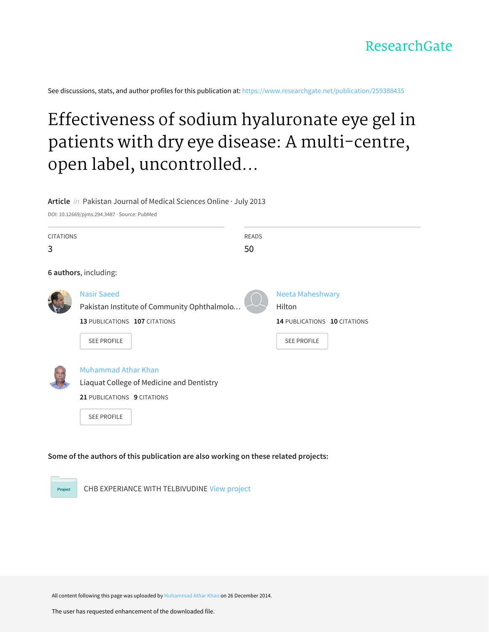See discussions, stats, and author profiles for this publication at: [https://www.researchgate.net/publication/259388435](https://www.researchgate.net/publication/259388435_Effectiveness_of_sodium_hyaluronate_eye_gel_in_patients_with_dry_eye_disease_A_multi-centre_open_label_uncontrolled_study?enrichId=rgreq-2f84aef3b6292fccd5da088b82f7c923-XXX&enrichSource=Y292ZXJQYWdlOzI1OTM4ODQzNTtBUzoxNzg2OTMwNDU0OTc4NTZAMTQxOTYxNTE1MDMyMg%3D%3D&el=1_x_2&_esc=publicationCoverPdf)

# Effectiveness of sodium hyaluronate eye gel in patients with dry eye disease: A multi-centre, open label, uncontrolled...

# **Article** in Pakistan Journal of Medical Sciences Online · July 2013

DOI: 10.12669/pjms.294.3487 · Source: PubMed

| <b>CITATIONS</b> | <b>READS</b>                                |                              |  |
|------------------|---------------------------------------------|------------------------------|--|
| 3                | 50                                          |                              |  |
|                  | 6 authors, including:                       |                              |  |
|                  | <b>Nasir Saeed</b>                          | <b>Neeta Maheshwary</b>      |  |
|                  | Pakistan Institute of Community Ophthalmolo | Hilton                       |  |
|                  | 13 PUBLICATIONS 107 CITATIONS               | 14 PUBLICATIONS 10 CITATIONS |  |
|                  | SEE PROFILE                                 | SEE PROFILE                  |  |
|                  | <b>Muhammad Athar Khan</b>                  |                              |  |
|                  | Liaquat College of Medicine and Dentistry   |                              |  |
|                  | 21 PUBLICATIONS 9 CITATIONS                 |                              |  |
|                  | <b>SEE PROFILE</b>                          |                              |  |

# **Some of the authors of this publication are also working on these related projects:**

CHB EXPERIANCE WITH TELBIVUDINE View [project](https://www.researchgate.net/project/CHB-EXPERIANCE-WITH-TELBIVUDINE?enrichId=rgreq-2f84aef3b6292fccd5da088b82f7c923-XXX&enrichSource=Y292ZXJQYWdlOzI1OTM4ODQzNTtBUzoxNzg2OTMwNDU0OTc4NTZAMTQxOTYxNTE1MDMyMg%3D%3D&el=1_x_9&_esc=publicationCoverPdf)

All content following this page was uploaded by [Muhammad](https://www.researchgate.net/profile/Muhammad_Khan44?enrichId=rgreq-2f84aef3b6292fccd5da088b82f7c923-XXX&enrichSource=Y292ZXJQYWdlOzI1OTM4ODQzNTtBUzoxNzg2OTMwNDU0OTc4NTZAMTQxOTYxNTE1MDMyMg%3D%3D&el=1_x_10&_esc=publicationCoverPdf) Athar Khan on 26 December 2014.

Project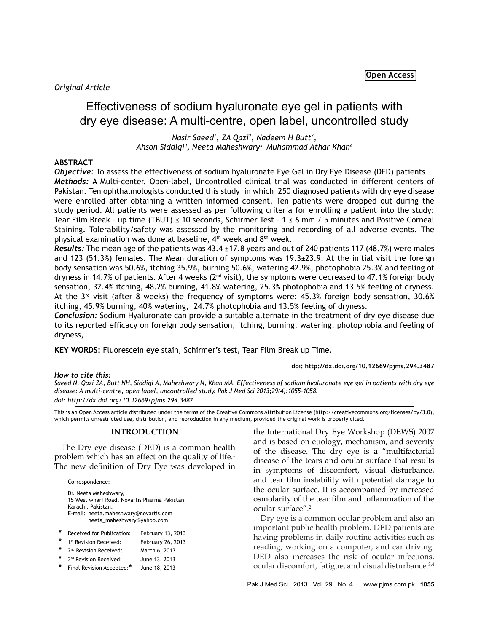# *Original Article*

# Effectiveness of sodium hyaluronate eye gel in patients with dry eye disease: A multi-centre, open label, uncontrolled study

*Nasir Saeed1 , ZA Qazi2 , Nadeem H Butt3 , Ahson Siddiqi4 , Neeta Maheshwary5, Muhammad Athar Khan6*

# **ABSTRACT**

*Objective:* To assess the effectiveness of sodium hyaluronate Eye Gel in Dry Eye Disease (DED) patients *Methods:* A Multi-center, Open-label, Uncontrolled clinical trial was conducted in different centers of Pakistan. Ten ophthalmologists conducted this study in which 250 diagnosed patients with dry eye disease were enrolled after obtaining a written informed consent. Ten patients were dropped out during the study period. All patients were assessed as per following criteria for enrolling a patient into the study: Tear Film Break - up time (TBUT)  $\leq 10$  seconds, Schirmer Test - 1  $\leq 6$  mm / 5 minutes and Positive Corneal Staining. Tolerability/safety was assessed by the monitoring and recording of all adverse events. The physical examination was done at baseline, 4<sup>th</sup> week and 8<sup>th</sup> week.

*Results:* The mean age of the patients was 43.4 ±17.8 years and out of 240 patients 117 (48.7%) were males and 123 (51.3%) females. The Mean duration of symptoms was 19.3±23.9. At the initial visit the foreign body sensation was 50.6%, itching 35.9%, burning 50.6%, watering 42.9%, photophobia 25.3% and feeling of dryness in 14.7% of patients. After 4 weeks ( $2^{nd}$  visit), the symptoms were decreased to 47.1% foreign body sensation, 32.4% itching, 48.2% burning, 41.8% watering, 25.3% photophobia and 13.5% feeling of dryness. At the  $3<sup>rd</sup>$  visit (after 8 weeks) the frequency of symptoms were: 45.3% foreign body sensation, 30.6% itching, 45.9% burning, 40% watering, 24.7% photophobia and 13.5% feeling of dryness.

*Conclusion:* Sodium Hyaluronate can provide a suitable alternate in the treatment of dry eye disease due to its reported efficacy on foreign body sensation, itching, burning, watering, photophobia and feeling of dryness,

**KEY WORDS:** Fluorescein eye stain, Schirmer's test, Tear Film Break up Time.

**doi: http://dx.doi.org/10.12669/pjms.294.3487**

*How to cite this: Saeed N, Qazi ZA, Butt NH, Siddiqi A, Maheshwary N, Khan MA. Effectiveness of sodium hyaluronate eye gel in patients with dry eye disease: A multi-centre, open label, uncontrolled study. Pak J Med Sci 2013;29(4):1055-1058. doi: http://dx.doi.org/10.12669/pjms.294.3487*

This is an Open Access article distributed under the terms of the Creative Commons Attribution License (http://creativecommons.org/licenses/by/3.0), which permits unrestricted use, distribution, and reproduction in any medium, provided the original work is properly cited.

# **INTRODUCTION**

The Dry eye disease (DED) is a common health problem which has an effect on the quality of life.<sup>1</sup> The new definition of Dry Eye was developed in

Correspondence: Dr. Neeta Maheshwary, 15 West wharf Road, Novartis Pharma Pakistan, Karachi, Pakistan. E-mail: neeta.maheshwary@novartis.com neeta\_maheshwary@yahoo.com **Received for Publication: February 13, 2013** 1<sup>st</sup> Revision Received: February 26, 2013 2<sup>nd</sup> Revision Received: March 6, 2013  **\*** 3rd Revision Received: June 13, 2013  **\*** Final Revision Accepted:**\*** June 18, 2013

the International Dry Eye Workshop (DEWS) 2007 and is based on etiology, mechanism, and severity of the disease. The dry eye is a "multifactorial disease of the tears and ocular surface that results in symptoms of discomfort, visual disturbance, and tear film instability with potential damage to the ocular surface. It is accompanied by increased osmolarity of the tear film and inflammation of the ocular surface".2

Dry eye is a common ocular problem and also an important public health problem. DED patients are having problems in daily routine activities such as reading, working on a computer, and car driving. DED also increases the risk of ocular infections, ocular discomfort, fatigue, and visual disturbance.3,4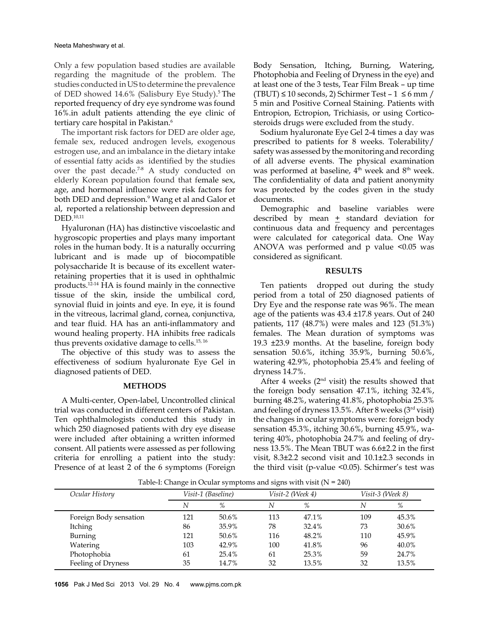#### Neeta Maheshwary et al.

Only a few population based studies are available regarding the magnitude of the problem. The studies conducted in US to determine the prevalence of DED showed 14.6% (Salisbury Eye Study). 5 The reported frequency of dry eye syndrome was found 16%.in adult patients attending the eye clinic of tertiary care hospital in Pakistan.<sup>6</sup>

The important risk factors for DED are older age, female sex, reduced androgen levels, exogenous estrogen use, and an imbalance in the dietary intake of essential fatty acids as identified by the studies over the past decade.7-8 A study conducted on elderly Korean population found that female sex, age, and hormonal influence were risk factors for both DED and depression.<sup>9</sup> Wang et al and Galor et al, reported a relationship between depression and DED<sup>10,11</sup>

Hyaluronan (HA) has distinctive viscoelastic and hygroscopic properties and plays many important roles in the human body. It is a naturally occurring lubricant and is made up of biocompatible polysaccharide It is because of its excellent waterretaining properties that it is used in ophthalmic products.12-14 HA is found mainly in the connective tissue of the skin, inside the umbilical cord, synovial fluid in joints and eye. In eye, it is found in the vitreous, lacrimal gland, cornea, conjunctiva, and tear fluid. HA has an anti-inflammatory and wound healing property. HA inhibits free radicals thus prevents oxidative damage to cells.15, 16

The objective of this study was to assess the effectiveness of sodium hyaluronate Eye Gel in diagnosed patients of DED.

# **METHODS**

A Multi-center, Open-label, Uncontrolled clinical trial was conducted in different centers of Pakistan. Ten ophthalmologists conducted this study in which 250 diagnosed patients with dry eye disease were included after obtaining a written informed consent. All patients were assessed as per following criteria for enrolling a patient into the study: Presence of at least 2 of the 6 symptoms (Foreign

Body Sensation, Itching, Burning, Watering, Photophobia and Feeling of Dryness in the eye) and at least one of the 3 tests, Tear Film Break – up time (TBUT)  $\leq$  10 seconds, 2) Schirmer Test – 1  $\leq$  6 mm / 5 min and Positive Corneal Staining. Patients with Entropion, Ectropion, Trichiasis, or using Corticosteroids drugs were excluded from the study.

Sodium hyaluronate Eye Gel 2-4 times a day was prescribed to patients for 8 weeks. Tolerability/ safety was assessed by the monitoring and recording of all adverse events. The physical examination was performed at baseline,  $4<sup>th</sup>$  week and  $8<sup>th</sup>$  week. The confidentiality of data and patient anonymity was protected by the codes given in the study documents.

Demographic and baseline variables were described by mean  $\pm$  standard deviation for continuous data and frequency and percentages were calculated for categorical data. One Way ANOVA was performed and p value <0.05 was considered as significant.

#### **RESULTS**

Ten patients dropped out during the study period from a total of 250 diagnosed patients of Dry Eye and the response rate was 96%. The mean age of the patients was 43.4 ±17.8 years. Out of 240 patients, 117 (48.7%) were males and 123 (51.3%) females. The Mean duration of symptoms was 19.3 ±23.9 months. At the baseline, foreign body sensation 50.6%, itching 35.9%, burning 50.6%, watering 42.9%, photophobia 25.4% and feeling of dryness 14.7%.

After 4 weeks  $(2<sup>nd</sup>$  visit) the results showed that the foreign body sensation 47.1%, itching 32.4%, burning 48.2%, watering 41.8%, photophobia 25.3% and feeling of dryness 13.5%. After 8 weeks (3rd visit) the changes in ocular symptoms were: foreign body sensation 45.3%, itching 30.6%, burning 45.9%, watering 40%, photophobia 24.7% and feeling of dryness 13.5%. The Mean TBUT was 6.6±2.2 in the first visit, 8.3±2.2 second visit and 10.1±2.3 seconds in the third visit (p-value <0.05). Schirmer's test was

|                        | $\cdot$            |       | $\cdot$          |       |                  |       |
|------------------------|--------------------|-------|------------------|-------|------------------|-------|
| Ocular History         | Visit-1 (Baseline) |       | Visit-2 (Week 4) |       | Visit-3 (Week 8) |       |
|                        | N                  | %     | N                | %     | N                | $\%$  |
| Foreign Body sensation | 121                | 50.6% | 113              | 47.1% | 109              | 45.3% |
| Itching                | 86                 | 35.9% | 78               | 32.4% | 73               | 30.6% |
| Burning                | 121                | 50.6% | 116              | 48.2% | 110              | 45.9% |
| Watering               | 103                | 42.9% | 100              | 41.8% | 96               | 40.0% |
| Photophobia            | 61                 | 25.4% | 61               | 25.3% | 59               | 24.7% |
| Feeling of Dryness     | 35                 | 14.7% | 32               | 13.5% | 32               | 13.5% |
|                        |                    |       |                  |       |                  |       |

Table-I: Change in Ocular symptoms and signs with visit  $(N = 240)$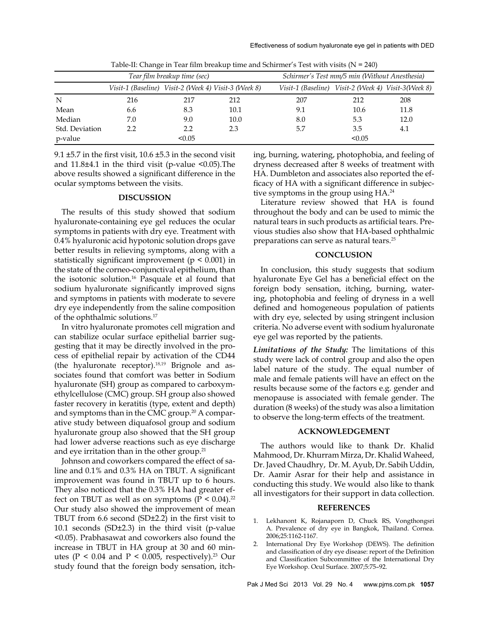|                |                                                      | Tear film breakup time (sec) |      | Schirmer's Test mm/5 min (Without Anesthesia)       |        |      |  |
|----------------|------------------------------------------------------|------------------------------|------|-----------------------------------------------------|--------|------|--|
|                | Visit-1 (Baseline) Visit-2 (Week 4) Visit-3 (Week 8) |                              |      | Visit-1 (Baseline) Visit-2 (Week 4) Visit-3(Week 8) |        |      |  |
| N              | 216                                                  | 217                          | 212  | 207                                                 | 212    | 208  |  |
| Mean           | 6.6                                                  | 8.3                          | 10.1 | 9.1                                                 | 10.6   | 11.8 |  |
| Median         | 7.0                                                  | 9.0                          | 10.0 | 8.0                                                 | 5.3    | 12.0 |  |
| Std. Deviation | フフ                                                   | 2.2                          | 2.3  | 5.7                                                 | 3.5    | 4.1  |  |
| p-value        |                                                      | < 0.05                       |      |                                                     | < 0.05 |      |  |

Table-II: Change in Tear film breakup time and Schirmer's Test with visits (N = 240)

9.1  $\pm$ 5.7 in the first visit, 10.6  $\pm$ 5.3 in the second visit and  $11.8\pm4.1$  in the third visit (p-value  $\leq 0.05$ ). The above results showed a significant difference in the ocular symptoms between the visits.

# **DISCUSSION**

The results of this study showed that sodium hyaluronate-containing eye gel reduces the ocular symptoms in patients with dry eye. Treatment with 0.4% hyaluronic acid hypotonic solution drops gave better results in relieving symptoms, along with a statistically significant improvement ( $p < 0.001$ ) in the state of the corneo-conjunctival epithelium, than the isotonic solution.16 Pasquale et al found that sodium hyaluronate significantly improved signs and symptoms in patients with moderate to severe dry eye independently from the saline composition of the ophthalmic solutions.17

In vitro hyaluronate promotes cell migration and can stabilize ocular surface epithelial barrier suggesting that it may be directly involved in the process of epithelial repair by activation of the CD44 (the hyaluronate receptor).18,19 Brignole and associates found that comfort was better in Sodium hyaluronate (SH) group as compared to carboxymethylcellulose (CMC) group. SH group also showed faster recovery in keratitis (type, extent and depth) and symptoms than in the CMC group. $20$  A comparative study between diquafosol group and sodium hyaluronate group also showed that the SH group had lower adverse reactions such as eye discharge and eye irritation than in the other group.<sup>21</sup>

Johnson and coworkers compared the effect of saline and 0.1% and 0.3% HA on TBUT. A significant improvement was found in TBUT up to 6 hours. They also noticed that the 0.3% HA had greater effect on TBUT as well as on symptoms ( $P < 0.04$ ).<sup>22</sup> Our study also showed the improvement of mean TBUT from 6.6 second (SD±2.2) in the first visit to 10.1 seconds (SD±2.3) in the third visit (p-value <0.05). Prabhasawat and coworkers also found the increase in TBUT in HA group at 30 and 60 minutes ( $P < 0.04$  and  $P < 0.005$ , respectively).<sup>23</sup> Our study found that the foreign body sensation, itching, burning, watering, photophobia, and feeling of dryness decreased after 8 weeks of treatment with HA. Dumbleton and associates also reported the efficacy of HA with a significant difference in subjective symptoms in the group using HA.<sup>24</sup>

Literature review showed that HA is found throughout the body and can be used to mimic the natural tears in such products as artificial tears. Previous studies also show that HA-based ophthalmic preparations can serve as natural tears.<sup>25</sup>

# **CONCLUSION**

In conclusion, this study suggests that sodium hyaluronate Eye Gel has a beneficial effect on the foreign body sensation, itching, burning, watering, photophobia and feeling of dryness in a well defined and homogeneous population of patients with dry eye, selected by using stringent inclusion criteria. No adverse event with sodium hyaluronate eye gel was reported by the patients.

*Limitations of the Study:* The limitations of this study were lack of control group and also the open label nature of the study. The equal number of male and female patients will have an effect on the results because some of the factors e.g. gender and menopause is associated with female gender. The duration (8 weeks) of the study was also a limitation to observe the long-term effects of the treatment.

### **ACKNOWLEDGEMENT**

The authors would like to thank Dr. Khalid Mahmood, Dr. Khurram Mirza, Dr. Khalid Waheed, Dr. Javed Chaudhry, Dr. M. Ayub, Dr. Sabih Uddin, Dr. Aamir Asrar for their help and assistance in conducting this study. We would also like to thank all investigators for their support in data collection.

# **REFERENCES**

- 1. Lekhanont K, Rojanaporn D, Chuck RS, Vongthongsri A. Prevalence of dry eye in Bangkok, Thailand. Cornea. 2006;25:1162-1167.
- 2. International Dry Eye Workshop (DEWS). The definition and classification of dry eye disease: report of the Definition and Classification Subcommittee of the International Dry Eye Workshop. Ocul Surface. 2007;5:75–92.